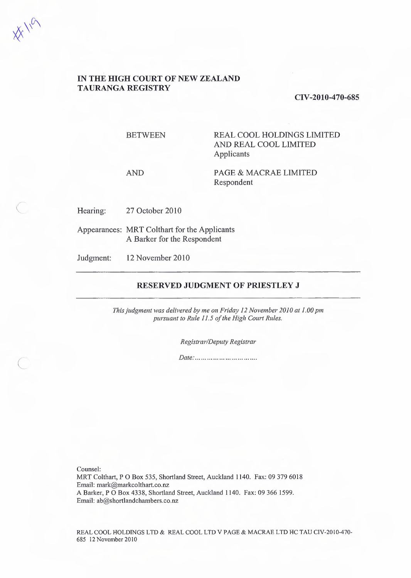$x^{\prime\prime\alpha}$ 

 $\left($ 

# **IN THE HIGH COURT OF NEW ZEALAND TAURANGA REGISTRY**

### **CIV-2010-470-685**

BETWEEN REAL COOL HOLDINGS LIMITED AND REAL COOL LIMITED Applicants

AND PAGE & MACRAE LIMITED Respondent

Hearing: 27 October 2010

Appearances: MRT Colthart for the Applicants A Barker for the Respondent

Judgment: 12 November 2010

#### **RESERVED JUDGMENT OF PRIESTLEY J**

*This judgment was delivered by me on Friday 12 November 2010 at 1.00 pm pursuant to Rule 11.5 of the High Court Rules.* 

*Registrar/Deputy Registrar* 

*Date: .* 

Counsel:

MRT Colthart, PO Box 535, Shortland Street, Auckland 1140. Fax: 09 379 6018 Email: mark@markcolthart.co.nz A Barker, PO Box 4338, Shortland Street, Auckland 1140. Fax: 09 366 1599. Email: ab@shortlandchambers.co.nz

REAL COOL HOLDINGS LTD & REAL COOL LTD V PAGE & MACRAE LTD HC TAU CIV-2010-470-685 12 November 2010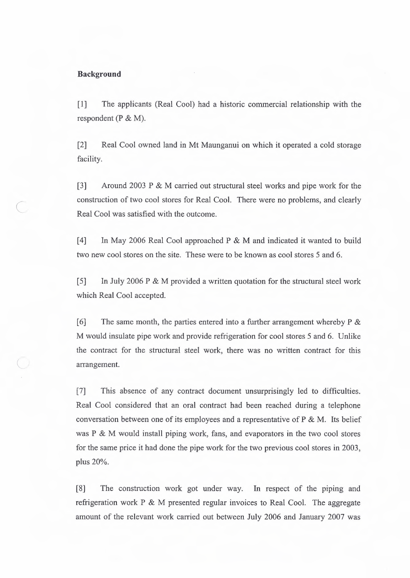## **Background**

 $\cup$ 

 $\subset$ 

[1] The applicants (Real Cool) had a historic commercial relationship with the respondent (P & M).

[2] Real Cool owned land in Mt Maunganui on which it operated a cold storage facility.

[3] Around 2003 P & M carried out structural steel works and pipe work for the construction of two cool stores for Real Cool. There were no problems, and clearly Real Cool was satisfied with the outcome.

[4] In May 2006 Real Cool approached P & M and indicated it wanted to build two new cool stores on the site. These were to be known as cool stores 5 and 6.

[5] In July 2006 P & M provided a written quotation for the structural steel work which Real Cool accepted.

[6] The same month, the parties entered into a further arrangement whereby  $P \&$ M would insulate pipe work and provide refrigeration for cool stores 5 and 6. Unlike the contract for the structural steel work, there was no written contract for this arrangement.

[7] This absence of any contract document unsurprisingly led to difficulties. Real Cool considered that an oral contract bad been reached during a telephone conversation between one of its employees and a representative of P & M. Its belief was P & M would install piping work, fans, and evaporators in the two cool stores for the same price it had done the pipe work for the two previous cool stores in 2003, plus 20%.

[8] The construction work got under way. In respect of the piping and refrigeration work P & M presented regular invoices to Real Cool. The aggregate amount of the relevant work carried out between July 2006 and January 2007 was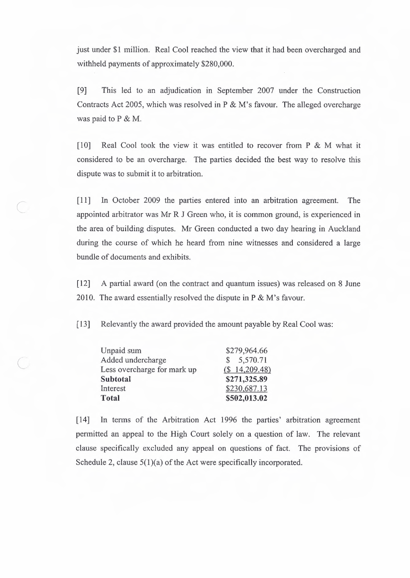just under **\$1** million. Real Cool reached the view that it had been overcharged and withheld payments of approximately \$280,000.

[9] This led to an adjudication in September 2007 under the Construction Contracts Act 2005, which was resolved in P & M's favour. The alleged overcharge was paid to P & M.

[10] Real Cool took the view it was entitled to recover from  $P \& M$  what it considered to be an overcharge. The parties decided the best way to resolve this dispute was to submit it to arbitration.

[ 11] In October 2009 the parties entered into an arbitration agreement. The appointed arbitrator was Mr R J Green who, it is common ground, is experienced in the area of building disputes. Mr Green conducted a two day hearing in Auckland during the course of which he heard from nine witnesses and considered a large bundle of documents and exhibits.

[12] A partial award (on the contract and quantum issues) was released on 8 June 2010. The award essentially resolved the dispute in P & M's favour.

[13] Relevantly the award provided the amount payable by Real Cool was:

| Unpaid sum                  | \$279,964.66    |
|-----------------------------|-----------------|
| Added undercharge           | \$5,570.71      |
| Less overcharge for mark up | $(S$ 14,209.48) |
| Subtotal                    | \$271,325.89    |
| Interest                    | \$230,687.13    |
| <b>Total</b>                | \$502,013.02    |

 $\overline{\phantom{a}}$ 

[ 14] In terms of the Arbitration Act 1996 the parties' arbitration agreement permitted an appeal to the High Court solely on a question of law. The relevant clause specifically excluded any appeal on questions of fact. The provisions of Schedule 2, clause  $5(1)(a)$  of the Act were specifically incorporated.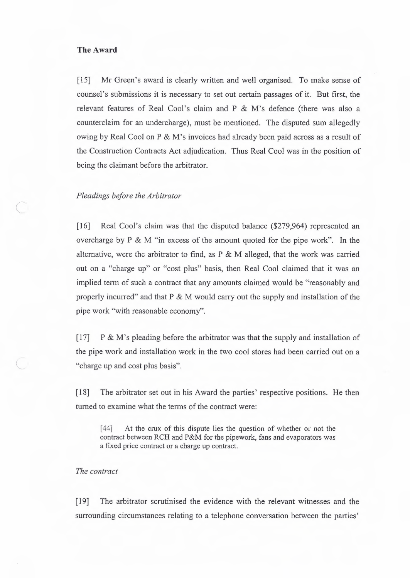### **The Award**

 $\sqrt{2}$ 

[15] Mr Green's award is clearly written and well organised. To make sense of counsel's submissions it is necessary to set out certain passages of it. But first, the relevant features of Real Cool's claim and P & M's defence (there was also a counterclaim for an undercharge), must be mentioned. The disputed sum allegedly owing by Real Cool on P & M's invoices had already been paid across as a result of the Construction Contracts Act adjudication. Thus Real Cool was in the position of being the claimant before the arbitrator.

### *Pleadings before the Arbitrator*

[16] Real Cool's claim was that the disputed balance (\$279,964) represented an overcharge by P & M "in excess of the amount quoted for the pipe work". In the alternative, were the arbitrator to find, as  $P \& M$  alleged, that the work was carried out on a "charge up" or "cost plus" basis, then Real Cool claimed that it was an implied term of such a contract that any amounts claimed would be "reasonably and properly incurred" and that P & M would carry out the supply and installation of the pipe work "with reasonable economy".

 $[17]$  P & M's pleading before the arbitrator was that the supply and installation of the pipe work and installation work in the two cool stores had been carried out on a "charge up and cost plus basis".

[ 18] The arbitrator set out in his Award the parties' respective positions. He then turned to examine what the terms of the contract were:

[44] At the crux of this dispute lies the question of whether or not the contract between RCH and P&M for the pipework, fans and evaporators was a fixed price contract or a charge up contract.

## *The contract*

[19] The arbitrator scrutinised the evidence with the relevant witnesses and the surrounding circumstances relating to a telephone conversation between the parties'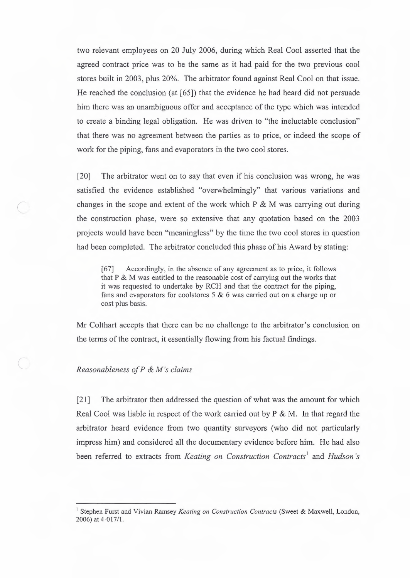two relevant employees on 20 July 2006, during which Real Cool asserted that the agreed contract price was to be the same as it had paid for the two previous cool stores built in 2003, plus 20%. The arbitrator found against Real Cool on that issue. He reached the conclusion (at  $[65]$ ) that the evidence he had heard did not persuade him there was an unambiguous offer and acceptance of the type which was intended to create a binding legal obligation. He was driven to "the ineluctable conclusion" that there was no agreement between the parties as to price, or indeed the scope of work for the piping, fans and evaporators in the two cool stores.

[20] The arbitrator went on to say that even if his conclusion was wrong, he was satisfied the evidence established "overwhelmingly" that various variations and changes in the scope and extent of the work which  $P \& M$  was carrying out during the construction phase, were so extensive that any quotation based on the 2003 projects would have been "meaningless" by the time the two cool stores in question had been completed. The arbitrator concluded this phase of his Award by stating:

[67] Accordingly, in the absence of any agreement as to price, it follows that P & M was entitled to the reasonable cost of carrying out the works that it was requested to undertake by RCH and that the contract for the piping, fans and evaporators for coolstores 5 & 6 was carried out on a charge up or cost plus basis.

Mr Colthart accepts that there can be no challenge to the arbitrator's conclusion on the terms of the contract, it essentially flowing from his factual findings.

### ( *Reasonableness of P & M's claims*

*(* 

[21] The arbitrator then addressed the question of what was the amount for which Real Cool was liable in respect of the work carried out by P & M. In that regard the arbitrator heard evidence from two quantity surveyors (who did not particularly impress him) and considered all the documentary evidence before him. He had also been referred to extracts from *Keating on Construction Contracts1* and *Hudson's* 

<sup>&</sup>lt;sup>1</sup> Stephen Furst and Vivian Ramsey *Keating on Construction Contracts* (Sweet & Maxwell, London, 2006) at 4-017/1.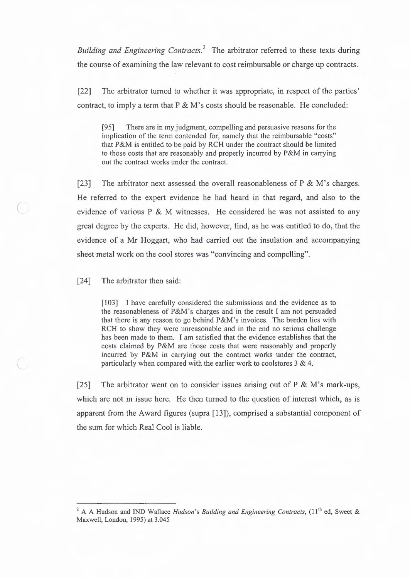*Building and Engineering Contracts.2* The arbitrator referred to these texts during the course of examining the law relevant to cost reimbursable or charge up contracts.

[22] The arbitrator turned to whether it was appropriate, in respect of the parties' contract, to imply a term that  $P \& M$ 's costs should be reasonable. He concluded:

(95] There are in my judgment, compelling and persuasive reasons for the implication of the term contended for, namely that the reimbursable "costs" that P&M is entitled to be paid by RCH under the contract should be limited to those costs that are reasonably and properly incurred by P&M in carrying out the contract works under the contract.

[23] The arbitrator next assessed the overall reasonableness of  $P \& M$ 's charges. He referred to the expert evidence he had heard in that regard, and also to the evidence of various P & M witnesses. He considered he was not assisted to any great degree by the experts. He did, however, find, as he was entitled to do, that the evidence of a Mr Hoggart, who had carried out the insulation and accompanying sheet metal work on the cool stores was "convincing and compelling".

[24] The arbitrator then said:

*(* 

(103] I have carefully considered the submissions and the evidence as to the reasonableness of P&M's charges and in the result I am not persuaded that there is any reason to go behind P&M's invoices. The burden lies with RCH to show they were unreasonable and in the end no serious challenge has been made to them. I am satisfied that the evidence establishes that the costs claimed by P&M are those costs that were reasonably and properly incurred by P&M in carrying out the contract works under the contract, particularly when compared with the earlier work to coolstores  $3 & 4$ .

[25] The arbitrator went on to consider issues arising out of P & M's mark-ups, which are not in issue here. He then turned to the question of interest which, as is apparent from the Award figures (supra [13]), comprised a substantial component of the sum for which Real Cool is liable.

<sup>&</sup>lt;sup>2</sup> A A Hudson and IND Wallace *Hudson's Building and Engineering Contracts*, (11<sup>th</sup> ed, Sweet & Maxwell, London, 1995) at 3.045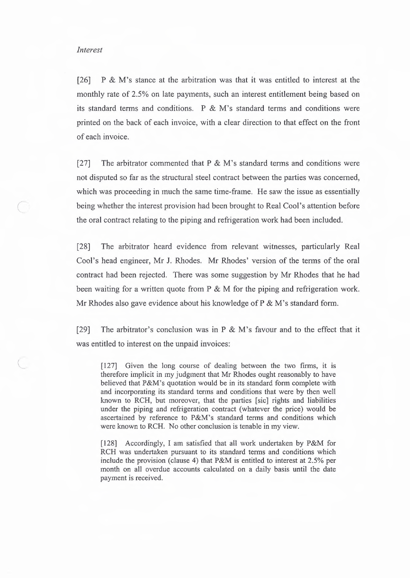#### *Interest*

 $\subset$ 

[26] P & M's stance at the arbitration was that it was entitled to interest at the monthly rate of 2.5% on late payments, such an interest entitlement being based on its standard terms and conditions. P & M's standard terms and conditions were printed on the back of each invoice, with a clear direction to that effect on the front of each invoice.

[27] The arbitrator commented that  $P \& M$ 's standard terms and conditions were not disputed so far as the structural steel contract between the parties was concerned, which was proceeding in much the same time-frame. He saw the issue as essentially being whether the interest provision had been brought to Real Cool's attention before the oral contract relating to the piping and refrigeration work had been included.

[28] The arbitrator heard evidence from relevant witnesses, particularly Real Cool's head engineer, Mr J. Rhodes. Mr Rhodes' version of the terms of the oral contract had been rejected. There was some suggestion by Mr Rhodes that he had been waiting for a written quote from  $P \& M$  for the piping and refrigeration work. Mr Rhodes also gave evidence about his knowledge of  $P \& M$ 's standard form.

[29] The arbitrator's conclusion was in P & M's favour and to the effect that it was entitled to interest on the unpaid invoices:

[127] Given the long course of dealing between the two firms, it is therefore implicit in my judgment that Mr Rhodes ought reasonably to have believed that P&M's quotation would be in its standard form complete with and incorporating its standard terms and conditions that were by then well known to RCH, but moreover, that the parties [sic] rights and liabilities under the piping and refrigeration contract (whatever the price) would be ascertained by reference to P&M's standard terms and conditions which were known to RCH. No other conclusion is tenable in my view.

[128] Accordingly, I am satisfied that all work undertaken by P&M for RCH was undertaken pursuant to its standard terms and conditions which include the provision (clause 4) that P&M is entitled to interest at 2.5% per month on all overdue accounts calculated on a daily basis until the date payment is received.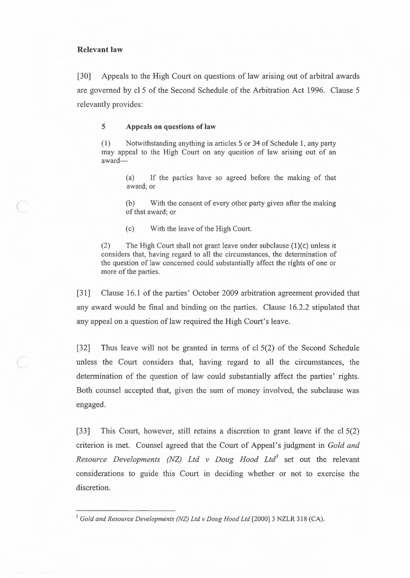### **Relevant law**

[30] Appeals to the High Court on questions of law arising out of arbitral awards are governed by cl 5 of the Second Schedule of the Arbitration Act 1996. Clause 5 relevantly provides:

#### **5 Appeals on questions of law**

( 1) Notwithstanding anything in articles 5 or 34 of Schedule 1, any party may appeal to the High Court on any question of law arising out of an award-

> (a) If the parties have so agreed before the making of that award; or

> (b) With the consent of every other party given after the making of that award; or

( c) With the leave of the High Court.

(2) The High Court shall not grant leave under subclause  $(1)(c)$  unless it considers that, having regard to all the circumstances, the determination of the question of law concerned could substantially affect the rights of one or more of the parties.

[31] Clause 16.1 of the parties' October 2009 arbitration agreement provided that any award would be final and binding on the parties. Clause 16.2.2 stipulated that any appeal on a question of law required the High Court's leave.

[32] Thus leave will not be granted in terms of cl 5(2) of the Second Schedule unless the Court considers that, having regard to all the circumstances, the determination of the question of law could substantially affect the parties' rights. Both counsel accepted that, given the sum of money involved, the subclause was engaged.

[33] This Court, however, still retains a discretion to grant leave if the cl 5(2) criterion is met. Counsel agreed that the Court of Appeal's judgment in *Gold and Resource Developments (NZ) Ltd v Doug Hood Ltd3* set out the relevant considerations to guide this Court in deciding whether or not to exercise the discretion.

<sup>&</sup>lt;sup>3</sup> Gold and Resource Developments (NZ) Ltd v Doug Hood Ltd [2000] 3 NZLR 318 (CA).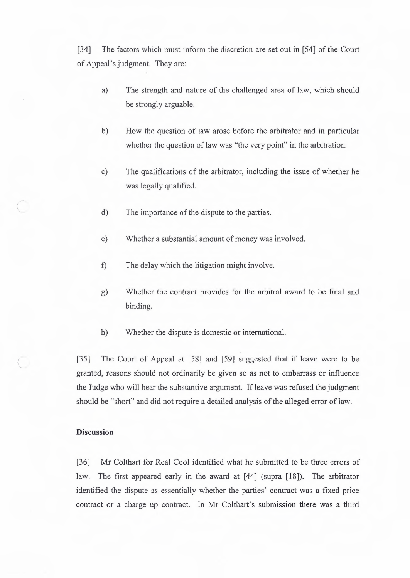[34] The factors which must inform the discretion are set out in [54] of the Court of Appeal's judgment. They are:

- a) The strength and nature of the challenged area of law, which should be strongly arguable.
- b) How the question of law arose before the arbitrator and in particular whether the question of law was "the very point" in the arbitration.
- c) The qualifications of the arbitrator, including the issue of whether he was legally qualified.
- d) The importance of the dispute to the parties.
- e) Whether a substantial amount of money was involved.
- f) The delay which the litigation might involve.
- g) Whether the contract provides for the arbitral award to be final and binding.
- h) Whether the dispute is domestic or international.

[35] The Court of Appeal at [58] and [59] suggested that if leave were to be granted, reasons should not ordinarily be given so as not to embarrass or influence the Judge who will hear the substantive argument. If leave was refused the judgment should be "short" and did not require a detailed analysis of the alleged error of law.

### **Discussion**

*(* 

[36] Mr Colthart for Real Cool identified what he submitted to be three errors of law. The first appeared early in the award at [44] (supra [18]). The arbitrator identified the dispute as essentially whether the parties' contract was a fixed price contract or a charge up contract. In Mr Colthart's submission there was a third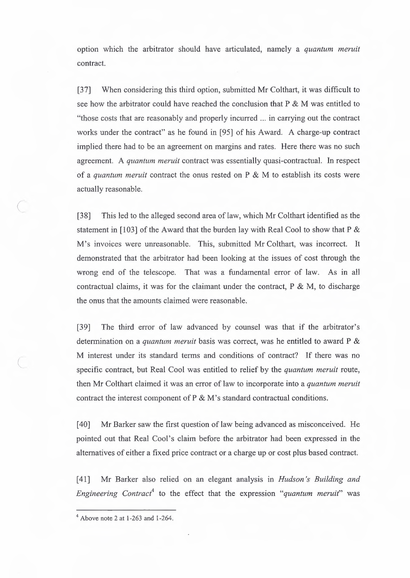option which the arbitrator should have articulated, namely a *quantum meruit*  contract.

[37] When considering this third option, submitted Mr Colthart, it was difficult to see how the arbitrator could have reached the conclusion that  $P \& M$  was entitled to "those costs that are reasonably and properly incurred ... in carrying out the contract works under the contract" as he found in [95] of his Award. A charge-up contract implied there had to be an agreement on margins and rates. Here there was no such agreement. A *quantum meruit* contract was essentially quasi-contractual. In respect of a *quantum meruit* contract the onus rested on P & M to establish its costs were actually reasonable.

[38] This led to the alleged second area of law, which Mr Colthart identified as the statement in [103] of the Award that the burden lay with Real Cool to show that P & M's invoices were unreasonable. This, submitted Mr Colthart, was incorrect. It demonstrated that the arbitrator had been looking at the issues of cost through the wrong end of the telescope. That was a fundamental error of law. As in all contractual claims, it was for the claimant under the contract,  $P \& M$ , to discharge the onus that the amounts claimed were reasonable.

[39] The third error of law advanced by counsel was that if the arbitrator's determination on a *quantum meruit* basis was correct, was he entitled to award P & M interest under its standard terms and conditions of contract? If there was no specific contract, but Real Cool was entitled to relief by the *quantum meruit* route, then Mr Colthart claimed it was an error of law to incorporate into a *quantum meruit*  contract the interest component of P & M's standard contractual conditions.

[40] Mr Barker saw the first question of law being advanced as misconceived. He pointed out that Real Cool's claim before the arbitrator had been expressed in the alternatives of either a fixed price contract or a charge up or cost plus based contract.

[ 41] Mr Barker also relied on an elegant analysis in *Hudson 's Building and Engineering Contract4* to the effect that the expression *"quantum meruit"* was

*(* 

 $\subset$ 

 $4$  Above note 2 at 1-263 and 1-264.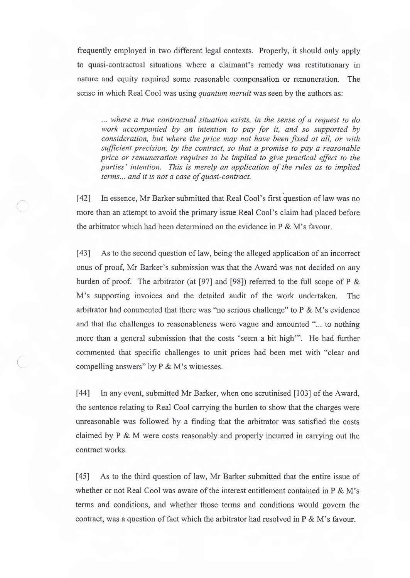frequently employed in two different legal contexts. Properly, it should only apply to quasi-contractual situations where a claimant's remedy was restitutionary in nature and equity required some reasonable compensation or remuneration. The sense in which Real Cool was using *quantum meruit* was seen by the authors as:

*. . . where a true contractual situation exists, in the sense of a request to do work accompanied by an intention to pay for it, and so supported by consideration, but where the price may not have been fixed at all, or with sufficient precision, by the contract, so that a promise to pay a reasonable price or remuneration requires to be implied to give practical effect to the parties' intention. This is merely an application of the rules as to implied terms ... and it is not a case of quasi-contract.* 

[42] In essence, Mr Barker submitted that Real Coal's first question of law was no more than an attempt to avoid the primary issue Real Cool's claim had placed before the arbitrator which had been determined on the evidence in P & M's favour.

*(* 

[43] As to the second question of law, being the alleged application of an incorrect onus of proof, Mr Barker's submission was that the Award was not decided on any burden of proof. The arbitrator (at [97] and [98]) referred to the full scope of P & M's supporting invoices and the detailed audit of the work undertaken. The arbitrator had commented that there was "no serious challenge" to  $P \& M$ 's evidence and that the challenges to reasonableness were vague and amounted "... to nothing more than a general submission that the costs 'seem a bit high"'. He had further commented that specific challenges to unit prices had been met with "clear and compelling answers" by P & M's witnesses.

[44] In any event, submitted Mr Barker, when one scrutinised [103] of the Award, the sentence relating to Real Cool carrying the burden to show that the charges were unreasonable was followed by a finding that the arbitrator was satisfied the costs claimed by P & M were costs reasonably and properly incurred in carrying out the contract works.

[45] As to the third question of law, Mr Barker submitted that the entire issue of whether or not Real Cool was aware of the interest entitlement contained in P & M's terms and conditions, and whether those terms and conditions would govern the contract, was a question of fact which the arbitrator had resolved in P & M's favour.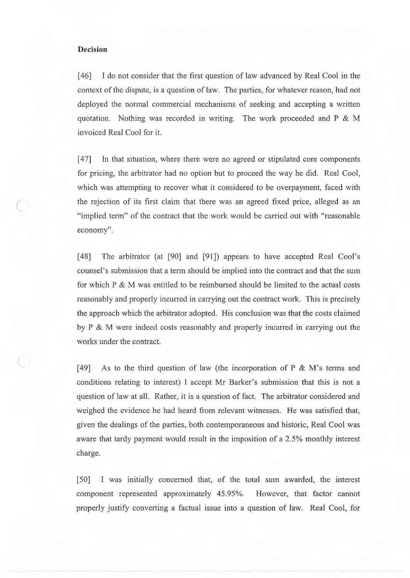### **Decision**

 $\overline{C}$ 

[46] I do not consider that the first question of law advanced by Real Cool in the context of the dispute, is a question of law. The parties, for whatever reason, had not deployed the normal commercial mechanisms of seeking and accepting a written quotation. Nothing was recorded in writing. The work proceeded and P & M invoiced Real Cool for it.

[47] In that situation, where there were no agreed or stipulated core components for pricing, the arbitrator had no option but to proceed the way he did. Real Cool, which was attempting to recover what it considered to be overpayment, faced with the rejection of its first claim that there was an agreed fixed price, alleged as an "implied term" of the contract that the work would be carried out with "reasonable economy".

[48] The arbitrator (at [90] and [91]) appears to have accepted Real Cool's counsel's submission that a term should be implied into the contract and that the sum for which P & M was entitled to be reimbursed should be limited to the actual costs reasonably and properly incurred in carrying out the contract work. This is precisely the approach which the arbitrator adopted. His conclusion was that the costs claimed by P & M were indeed costs reasonably and properly incurred in carrying out the works under the contract.

[49] As to the third question of law (the incorporation of P  $\&$  M's terms and conditions relating to interest) I accept Mr Barker's submission that this is not a question of law at all. Rather, it is a question of fact. The arbitrator considered and weighed the evidence he had heard from relevant witnesses. He was satisfied that, given the dealings of the parties, both contemporaneous and historic, Real Cool was aware that tardy payment would result in the imposition of a 2.5% monthly interest charge.

[50] I was initially concerned that, of the total sum awarded, the interest component represented approximately 45.95%. However, that factor cannot properly justify converting a factual issue into a question of law. Real Cool, for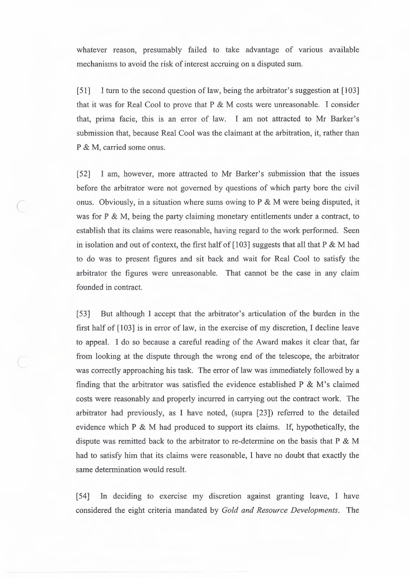whatever reason, presumably failed to take advantage of various available mechanisms to avoid the risk of interest accruing on a disputed sum.

[ 51] I turn to the second question of law, being the arbitrator's suggestion at [ 103] that it was for Real Cool to prove that P & **M** costs were unreasonable. I consider that, prima facie, this is an error of law. I am not attracted to Mr Barker's submission that, because Real Cool was the claimant at the arbitration, it, rather than P & M, carried some onus.

[52] I am, however, more attracted to Mr Barker's submission that the issues before the arbitrator were not governed by questions of which party bore the civil onus. Obviously, in a situation where sums owing to  $P \& M$  were being disputed, it was for P & M, being the party claiming monetary entitlements under a contract, to establish that its claims were reasonable, having regard to the work performed. Seen in isolation and out of context, the first half of  $[103]$  suggests that all that P & M had to do was to present figures and sit back and wait for Real Cool to satisfy the arbitrator the figures were unreasonable. That cannot be the case in any claim founded in contract.

*(* 

 $\subset$ 

[53] But although I accept that the arbitrator's articulation of the burden in the first half of [103] is in error of law, in the exercise of my discretion, I decline leave to appeal. I do so because a careful reading of the Award makes it clear that, far from looking at the dispute through the wrong end of the telescope, the arbitrator was correctly approaching his task. The error of law was immediately followed by a finding that the arbitrator was satisfied the evidence established  $P \& M$ 's claimed costs were reasonably and properly incurred in carrying out the contract work. The arbitrator had previously, as I have noted, (supra [23]) referred to the detailed evidence which P & M had produced to support its claims. If, hypothetically, the dispute was remitted back to the arbitrator to re-determine on the basis that P & M had to satisfy him that its claims were reasonable, I have no doubt that exactly the same determination would result.

[54] In deciding to exercise my discretion against granting leave, I have considered the eight criteria mandated by *Gold and Resource Developments.* The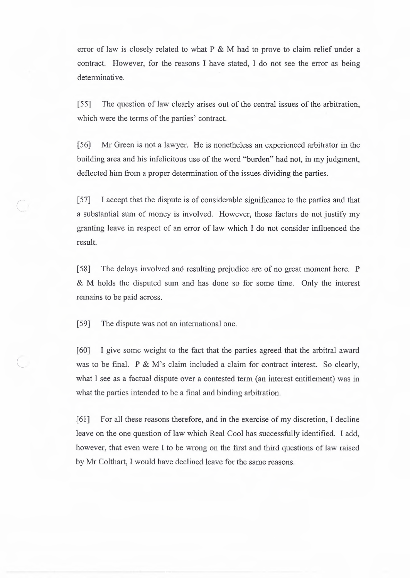error of law is closely related to what P & M had to prove to claim relief under a contract. However, for the reasons I have stated, I do not see the error as being determinative.

[55] The question of law clearly arises out of the central issues of the arbitration, which were the terms of the parties' contract.

[56] Mr Green is not a lawyer. He is nonetheless an experienced arbitrator in the building area and his infelicitous use of the word "burden" had not, in my judgment, deflected him from a proper determination of the issues dividing the parties.

*C* [ 57] I accept that the dispute is of considerable significance to the parties and that a substantial sum of money is involved. However, those factors do not justify my granting leave in respect of an error of law which I do not consider influenced the result.

> [58] The delays involved and resulting prejudice are of no great moment here. P & M holds the disputed sum and has done so for some time. Only the interest remains to be paid across.

[59] The dispute was not an international one.

[60] I give some weight to the fact that the parties agreed that the arbitral award was to be final. P & M's claim included a claim for contract interest. So clearly, what I see as a factual dispute over a contested term (an interest entitlement) was in what the parties intended to be a final and binding arbitration.

[61] For all these reasons therefore, and in the exercise of my discretion, I decline leave on the one question of law which Real Cool has successfully identified. I add, however, that even were I to be wrong on the first and third questions of law raised by Mr Colthart, I would have declined leave for the same reasons.